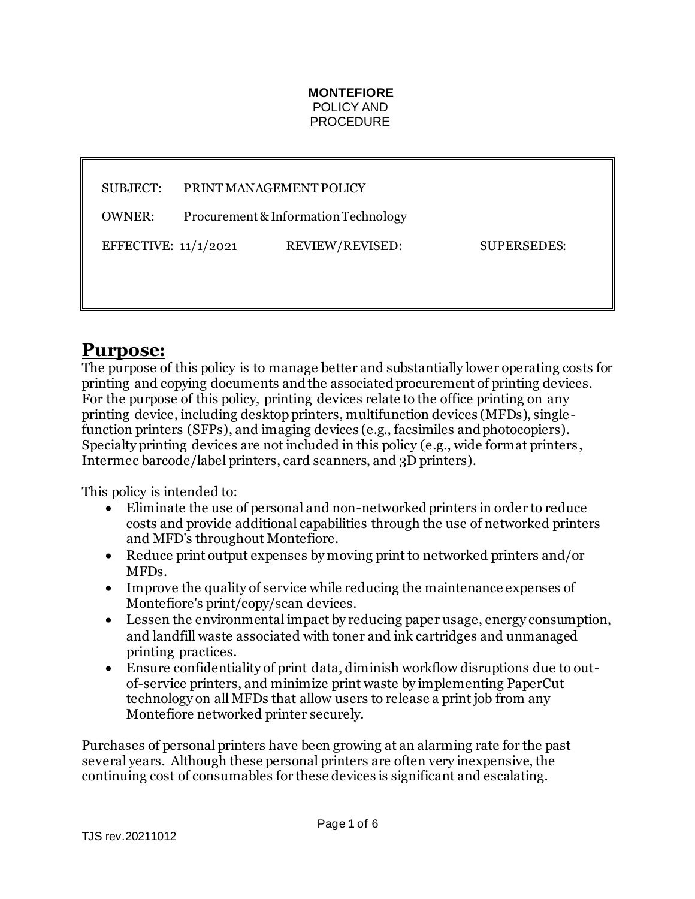#### **MONTEFIORE** POLICY AND PROCEDURE

SUBJECT: PRINT MANAGEMENT POLICY

OWNER: Procurement & Information Technology

EFFECTIVE: 11/1/2021 REVIEW/REVISED: SUPERSEDES:

### **Purpose:**

The purpose of this policy is to manage better and substantially lower operating costs for printing and copying documents and the associated procurement of printing devices. For the purpose of this policy, printing devices relate to the office printing on any printing device, including desktop printers, multifunction devices (MFDs), single function printers (SFPs), and imaging devices (e.g., facsimiles and photocopiers). Specialty printing devices are not included in this policy (e.g., wide format printers , Intermec barcode/label printers, card scanners, and 3D printers).

This policy is intended to:

- Eliminate the use of personal and non-networked printers in order to reduce costs and provide additional capabilities through the use of networked printers and MFD's throughout Montefiore.
- Reduce print output expenses by moving print to networked printers and/or MFDs.
- Improve the quality of service while reducing the maintenance expenses of Montefiore's print/copy/scan devices.
- Lessen the environmental impact by reducing paper usage, energy consumption, and landfill waste associated with toner and ink cartridges and unmanaged printing practices.
- Ensure confidentiality of print data, diminish workflow disruptions due to outof-service printers, and minimize print waste by implementing PaperCut technology on all MFDs that allow users to release a print job from any Montefiore networked printer securely.

Purchases of personal printers have been growing at an alarming rate for the past several years. Although these personal printers are often very inexpensive, the continuing cost of consumables for these devices is significant and escalating.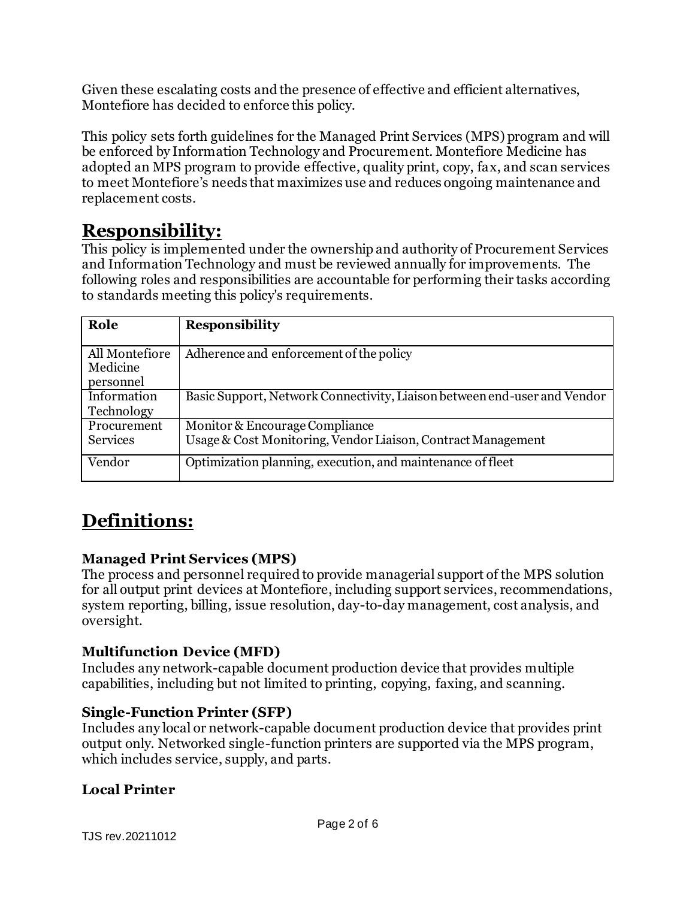Given these escalating costs and the presence of effective and efficient alternatives, Montefiore has decided to enforce this policy.

This policy sets forth guidelines for the Managed Print Services (MPS) program and will be enforced by Information Technology and Procurement. Montefiore Medicine has adopted an MPS program to provide effective, quality print, copy, fax, and scan services to meet Montefiore's needs that maximizes use and reduces ongoing maintenance and replacement costs.

## **Responsibility:**

This policy is implemented under the ownership and authority of Procurement Services and Information Technology and must be reviewed annually for improvements. The following roles and responsibilities are accountable for performing their tasks according to standards meeting this policy's requirements.

| Role                                    | <b>Responsibility</b>                                                                          |
|-----------------------------------------|------------------------------------------------------------------------------------------------|
| All Montefiore<br>Medicine<br>personnel | Adherence and enforcement of the policy                                                        |
| Information<br>Technology               | Basic Support, Network Connectivity, Liaison between end-user and Vendor                       |
| Procurement<br><b>Services</b>          | Monitor & Encourage Compliance<br>Usage & Cost Monitoring, Vendor Liaison, Contract Management |
| Vendor                                  | Optimization planning, execution, and maintenance of fleet                                     |

# **Definitions:**

#### **Managed Print Services (MPS)**

The process and personnel required to provide managerial support of the MPS solution for all output print devices at Montefiore, including support services, recommendations, system reporting, billing, issue resolution, day-to-day management, cost analysis, and oversight.

#### **Multifunction Device (MFD)**

Includes any network-capable document production device that provides multiple capabilities, including but not limited to printing, copying, faxing, and scanning.

#### **Single-Function Printer (SFP)**

Includes any local or network-capable document production device that provides print output only. Networked single-function printers are supported via the MPS program, which includes service, supply, and parts.

#### **Local Printer**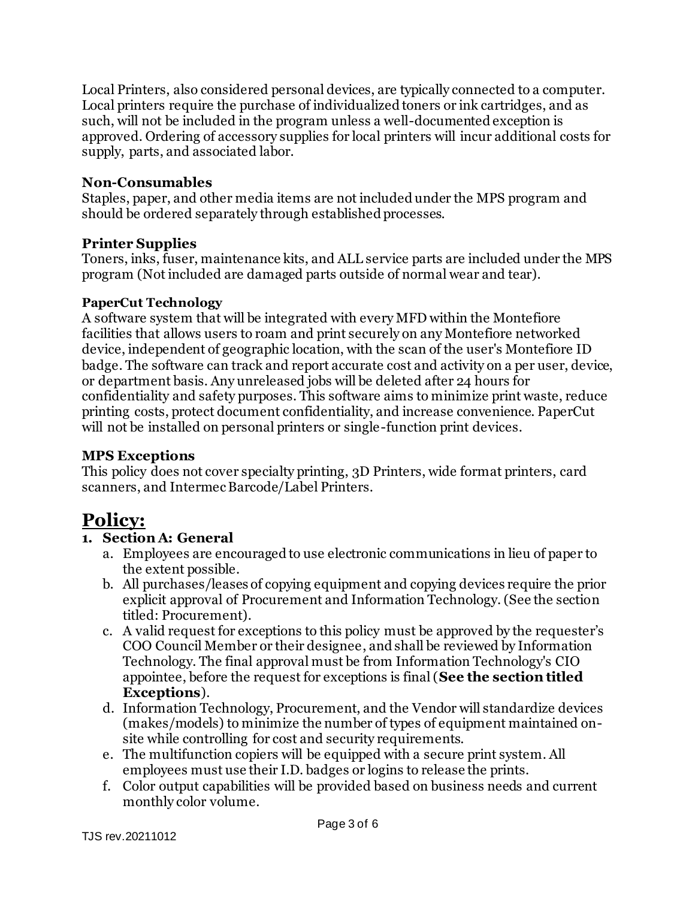Local Printers, also considered personal devices, are typically connected to a computer. Local printers require the purchase of individualized toners or ink cartridges, and as such, will not be included in the program unless a well-documented exception is approved. Ordering of accessory supplies for local printers will incur additional costs for supply, parts, and associated labor.

#### **Non-Consumables**

Staples, paper, and other media items are not included under the MPS program and should be ordered separately through established processes.

#### **Printer Supplies**

Toners, inks, fuser, maintenance kits, and ALL service parts are included under the MPS program (Not included are damaged parts outside of normal wear and tear).

#### **PaperCut Technology**

A software system that will be integrated with every MFD within the Montefiore facilities that allows users to roam and print securely on any Montefiore networked device, independent of geographic location, with the scan of the user's Montefiore ID badge. The software can track and report accurate cost and activity on a per user, device, or department basis. Any unreleased jobs will be deleted after 24 hours for confidentiality and safety purposes. This software aims to minimize print waste, reduce printing costs, protect document confidentiality, and increase convenience. PaperCut will not be installed on personal printers or single-function print devices.

#### **MPS Exceptions**

This policy does not cover specialty printing, 3D Printers, wide format printers, card scanners, and Intermec Barcode/Label Printers.

## **Policy:**

#### **1. Section A: General**

- a. Employees are encouraged to use electronic communications in lieu of paper to the extent possible.
- b. All purchases/leases of copying equipment and copying devices require the prior explicit approval of Procurement and Information Technology. (See the section titled: Procurement).
- c. A valid request for exceptions to this policy must be approved by the requester's COO Council Member or their designee, and shall be reviewed by Information Technology. The final approval must be from Information Technology's CIO appointee, before the request for exceptions is final (**See the section titled Exceptions**).
- d. Information Technology, Procurement, and the Vendor will standardize devices (makes/models) to minimize the number of types of equipment maintained onsite while controlling for cost and security requirements.
- e. The multifunction copiers will be equipped with a secure print system. All employees must use their I.D. badges or logins to release the prints.
- f. Color output capabilities will be provided based on business needs and current monthly color volume.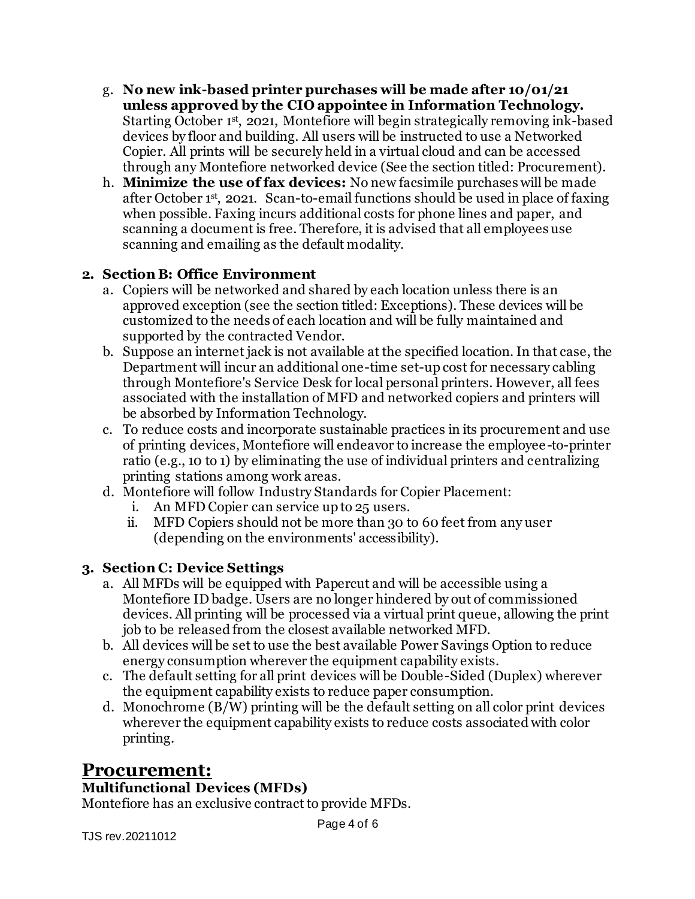- g. **No new ink-based printer purchases will be made after 10/01/21 unless approved by the CIO appointee in Information Technology.**  Starting October 1st, 2021, Montefiore will begin strategically removing ink-based devices by floor and building. All users will be instructed to use a Networked Copier. All prints will be securely held in a virtual cloud and can be accessed through any Montefiore networked device (See the section titled: Procurement).
- h. **Minimize the use of fax devices:** No new facsimile purchases will be made after October 1st, 2021. Scan-to-email functions should be used in place of faxing when possible. Faxing incurs additional costs for phone lines and paper, and scanning a document is free. Therefore, it is advised that all employees use scanning and emailing as the default modality.

#### **2. Section B: Office Environment**

- a. Copiers will be networked and shared by each location unless there is an approved exception (see the section titled: Exceptions). These devices will be customized to the needs of each location and will be fully maintained and supported by the contracted Vendor.
- b. Suppose an internet jack is not available at the specified location. In that case, the Department will incur an additional one-time set-up cost for necessary cabling through Montefiore's Service Desk for local personal printers. However, all fees associated with the installation of MFD and networked copiers and printers will be absorbed by Information Technology.
- c. To reduce costs and incorporate sustainable practices in its procurement and use of printing devices, Montefiore will endeavor to increase the employee-to-printer ratio (e.g., 10 to 1) by eliminating the use of individual printers and centralizing printing stations among work areas.
- d. Montefiore will follow Industry Standards for Copier Placement:
	- i. An MFD Copier can service up to 25 users.
	- ii. MFD Copiers should not be more than 30 to 60 feet from any user (depending on the environments' accessibility).

#### **3. Section C: Device Settings**

- a. All MFDs will be equipped with Papercut and will be accessible using a Montefiore ID badge. Users are no longer hindered by out of commissioned devices. All printing will be processed via a virtual print queue, allowing the print job to be released from the closest available networked MFD.
- b. All devices will be set to use the best available Power Savings Option to reduce energy consumption wherever the equipment capability exists.
- c. The default setting for all print devices will be Double-Sided (Duplex) wherever the equipment capability exists to reduce paper consumption.
- d. Monochrome (B/W) printing will be the default setting on all color print devices wherever the equipment capability exists to reduce costs associated with color printing.

### **Procurement:**

#### **Multifunctional Devices (MFDs)**

Montefiore has an exclusive contract to provide MFDs.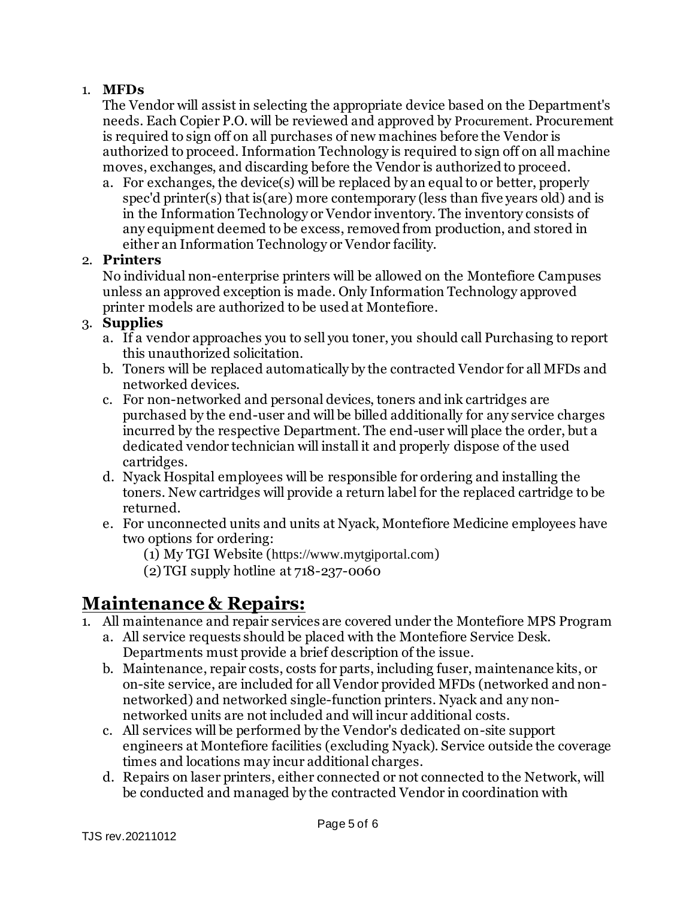#### 1. **MFDs**

The Vendor will assist in selecting the appropriate device based on the Department's needs. Each Copier P.O. will be reviewed and approved by Procurement. Procurement is required to sign off on all purchases of new machines before the Vendor is authorized to proceed. Information Technology is required to sign off on all machine moves, exchanges, and discarding before the Vendor is authorized to proceed.

a. For exchanges, the device(s) will be replaced by an equal to or better, properly spec'd printer(s) that is(are) more contemporary (less than five years old) and is in the Information Technology or Vendor inventory. The inventory consists of any equipment deemed to be excess, removed from production, and stored in either an Information Technology or Vendor facility.

#### 2. **Printers**

No individual non-enterprise printers will be allowed on the Montefiore Campuses unless an approved exception is made. Only Information Technology approved printer models are authorized to be used at Montefiore.

#### 3. **Supplies**

- a. If a vendor approaches you to sell you toner, you should call Purchasing to report this unauthorized solicitation.
- b. Toners will be replaced automatically by the contracted Vendor for all MFDs and networked devices.
- c. For non-networked and personal devices, toners and ink cartridges are purchased by the end-user and will be billed additionally for any service charges incurred by the respective Department. The end-user will place the order, but a dedicated vendor technician will install it and properly dispose of the used cartridges.
- d. Nyack Hospital employees will be responsible for ordering and installing the toners. New cartridges will provide a return label for the replaced cartridge to be returned.
- e. For unconnected units and units at Nyack, Montefiore Medicine employees have two options for ordering:
	- (1) My TGI Website ([https://www.mytgiportal.com](https://www.mytgiportal.com/))
	- (2) TGI supply hotline at 718-237-0060

## **Maintenance & Repairs:**

- 1. All maintenance and repair services are covered under the Montefiore MPS Program
	- a. All service requests should be placed with the Montefiore Service Desk. Departments must provide a brief description of the issue.
	- b. Maintenance, repair costs, costs for parts, including fuser, maintenance kits, or on-site service, are included for all Vendor provided MFDs (networked and nonnetworked) and networked single-function printers. Nyack and any nonnetworked units are not included and will incur additional costs.
	- c. All services will be performed by the Vendor's dedicated on-site support engineers at Montefiore facilities (excluding Nyack). Service outside the coverage times and locations may incur additional charges.
	- d. Repairs on laser printers, either connected or not connected to the Network, will be conducted and managed by the contracted Vendor in coordination with